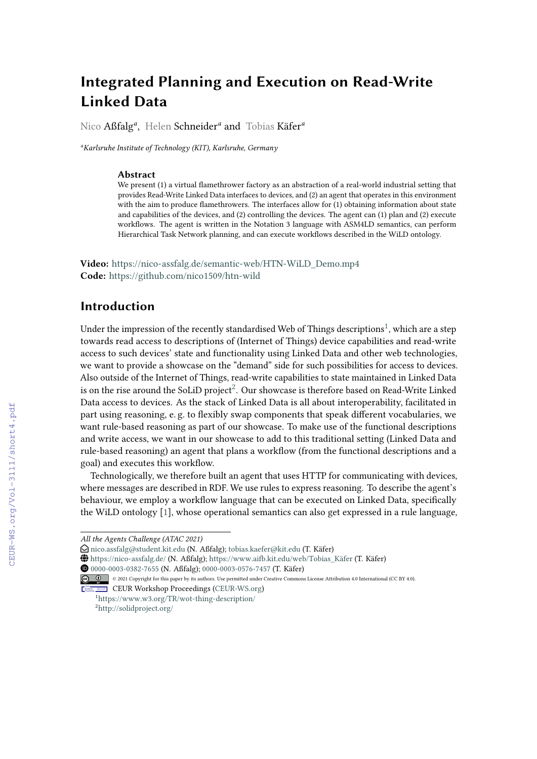# **Integrated Planning and Execution on Read-Write Linked Data**

Nico Aßfalg*<sup>a</sup>* , Helen Schneider*<sup>a</sup>* and Tobias Käfer*<sup>a</sup>*

*<sup>a</sup>Karlsruhe Institute of Technology (KIT), Karlsruhe, Germany*

#### **Abstract**

We present (1) a virtual flamethrower factory as an abstraction of a real-world industrial setting that provides Read-Write Linked Data interfaces to devices, and (2) an agent that operates in this environment with the aim to produce flamethrowers. The interfaces allow for (1) obtaining information about state and capabilities of the devices, and (2) controlling the devices. The agent can (1) plan and (2) execute workflows. The agent is written in the Notation 3 language with ASM4LD semantics, can perform Hierarchical Task Network planning, and can execute workflows described in the WiLD ontology.

**Video:** [https://nico-assfalg.de/semantic-web/HTN-WiLD\\_Demo.mp4](https://nico-assfalg.de/semantic-web/HTN-WiLD_Demo.mp4) **Code:** <https://github.com/nico1509/htn-wild>

### **Introduction**

Under the impression of the recently standardised Web of Things descriptions $^1$  $^1$ , which are a step towards read access to descriptions of (Internet of Things) device capabilities and read-write access to such devices' state and functionality using Linked Data and other web technologies, we want to provide a showcase on the "demand" side for such possibilities for access to devices. Also outside of the Internet of Things, read-write capabilities to state maintained in Linked Data is on the rise around the SoLiD project<sup>[2](#page-0-1)</sup>. Our showcase is therefore based on Read-Write Linked Data access to devices. As the stack of Linked Data is all about interoperability, facilitated in part using reasoning, e. g. to flexibly swap components that speak different vocabularies, we want rule-based reasoning as part of our showcase. To make use of the functional descriptions and write access, we want in our showcase to add to this traditional setting (Linked Data and rule-based reasoning) an agent that plans a workflow (from the functional descriptions and a goal) and executes this workflow.

Technologically, we therefore built an agent that uses HTTP for communicating with devices, where messages are described in RDF. We use rules to express reasoning. To describe the agent's behaviour, we employ a workflow language that can be executed on Linked Data, specifically the WiLD ontology [\[1\]](#page--1-0), whose operational semantics can also get expressed in a rule language,

 $\bigoplus$  <https://nico-assfalg.de/> (N. Aßfalg); https://www.aifb.kit.edu/web/Tobias Käfer (T. Käfer)

Orcid [0000-0003-0382-7655](https://orcid.org/0000-0003-0382-7655) (N. Aßfalg); [0000-0003-0576-7457](https://orcid.org/0000-0003-0576-7457) (T. Käfer)

CEUR Workshop [Proceedings](http://ceur-ws.org) [\(CEUR-WS.org\)](http://ceur-ws.org) <sup>1</sup><https://www.w3.org/TR/wot-thing-description/>

<span id="page-0-1"></span><span id="page-0-0"></span><sup>2</sup><http://solidproject.org/>

*All the Agents Challenge (ATAC 2021)*

 $\bigcirc$ [nico.assfalg@student.kit.edu](mailto:nico.assfalg@student.kit.edu) (N. Aßfalg); [tobias.kaefer@kit.edu](mailto:tobias.kaefer@kit.edu) (T. Käfer)

<sup>© 2021</sup> Copyright for this paper by its authors. Use permitted under Creative Commons License Attribution 4.0 International (CC BY 4.0).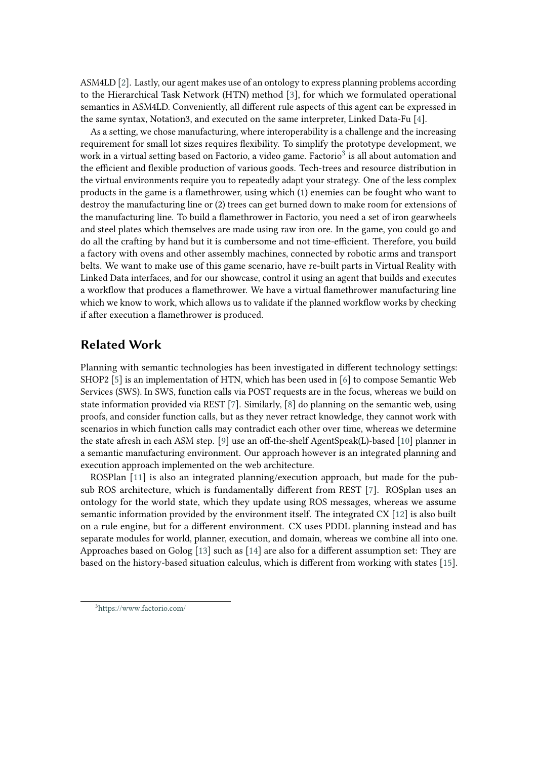ASM4LD [\[2\]](#page-5-0). Lastly, our agent makes use of an ontology to express planning problems according to the Hierarchical Task Network (HTN) method [\[3\]](#page-5-1), for which we formulated operational semantics in ASM4LD. Conveniently, all different rule aspects of this agent can be expressed in the same syntax, Notation3, and executed on the same interpreter, Linked Data-Fu [\[4\]](#page-5-2).

As a setting, we chose manufacturing, where interoperability is a challenge and the increasing requirement for small lot sizes requires flexibility. To simplify the prototype development, we work in a virtual setting based on Factorio, a video game. Factorio<sup>[3](#page-1-0)</sup> is all about automation and the efficient and flexible production of various goods. Tech-trees and resource distribution in the virtual environments require you to repeatedly adapt your strategy. One of the less complex products in the game is a flamethrower, using which (1) enemies can be fought who want to destroy the manufacturing line or (2) trees can get burned down to make room for extensions of the manufacturing line. To build a flamethrower in Factorio, you need a set of iron gearwheels and steel plates which themselves are made using raw iron ore. In the game, you could go and do all the crafting by hand but it is cumbersome and not time-efficient. Therefore, you build a factory with ovens and other assembly machines, connected by robotic arms and transport belts. We want to make use of this game scenario, have re-built parts in Virtual Reality with Linked Data interfaces, and for our showcase, control it using an agent that builds and executes a workflow that produces a flamethrower. We have a virtual flamethrower manufacturing line which we know to work, which allows us to validate if the planned workflow works by checking if after execution a flamethrower is produced.

### **Related Work**

Planning with semantic technologies has been investigated in different technology settings: SHOP2 [\[5\]](#page-5-3) is an implementation of HTN, which has been used in [\[6\]](#page-5-4) to compose Semantic Web Services (SWS). In SWS, function calls via POST requests are in the focus, whereas we build on state information provided via REST [\[7\]](#page-5-5). Similarly, [\[8\]](#page-5-6) do planning on the semantic web, using proofs, and consider function calls, but as they never retract knowledge, they cannot work with scenarios in which function calls may contradict each other over time, whereas we determine the state afresh in each ASM step. [\[9\]](#page-5-7) use an off-the-shelf AgentSpeak(L)-based [\[10\]](#page-5-8) planner in a semantic manufacturing environment. Our approach however is an integrated planning and execution approach implemented on the web architecture.

ROSPlan [\[11\]](#page-5-9) is also an integrated planning/execution approach, but made for the pubsub ROS architecture, which is fundamentally different from REST [\[7\]](#page-5-5). ROSplan uses an ontology for the world state, which they update using ROS messages, whereas we assume semantic information provided by the environment itself. The integrated CX [\[12\]](#page-5-10) is also built on a rule engine, but for a different environment. CX uses PDDL planning instead and has separate modules for world, planner, execution, and domain, whereas we combine all into one. Approaches based on Golog [\[13\]](#page-5-11) such as [\[14\]](#page-5-12) are also for a different assumption set: They are based on the history-based situation calculus, which is different from working with states [\[15\]](#page-5-13).

<span id="page-1-0"></span><sup>3</sup><https://www.factorio.com/>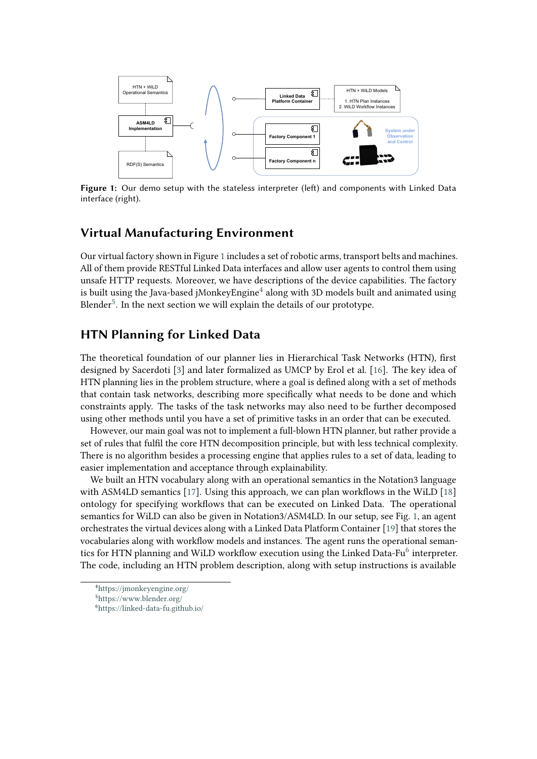

<span id="page-2-0"></span>**Figure 1:** Our demo setup with the stateless interpreter (left) and components with Linked Data interface (right).

### **Virtual Manufacturing Environment**

Our virtual factory shown in Figure [1](#page-2-0) includes a set of robotic arms, transport belts and machines. All of them provide RESTful Linked Data interfaces and allow user agents to control them using unsafe HTTP requests. Moreover, we have descriptions of the device capabilities. The factory is built using the Java-based jMonkey ${\rm Engine}^4$  ${\rm Engine}^4$  along with 3D models built and animated using Blender $^5$  $^5$ . In the next section we will explain the details of our prototype.

## **HTN Planning for Linked Data**

The theoretical foundation of our planner lies in Hierarchical Task Networks (HTN), first designed by Sacerdoti [\[3\]](#page-5-1) and later formalized as UMCP by Erol et al. [\[16\]](#page-6-0). The key idea of HTN planning lies in the problem structure, where a goal is defined along with a set of methods that contain task networks, describing more specifically what needs to be done and which constraints apply. The tasks of the task networks may also need to be further decomposed using other methods until you have a set of primitive tasks in an order that can be executed.

However, our main goal was not to implement a full-blown HTN planner, but rather provide a set of rules that fulfil the core HTN decomposition principle, but with less technical complexity. There is no algorithm besides a processing engine that applies rules to a set of data, leading to easier implementation and acceptance through explainability.

We built an HTN vocabulary along with an operational semantics in the Notation3 language with ASM4LD semantics [\[17\]](#page-6-1). Using this approach, we can plan workflows in the WiLD [\[18\]](#page-6-2) ontology for specifying workflows that can be executed on Linked Data. The operational semantics for WiLD can also be given in Notation3/ASM4LD. In our setup, see Fig. [1,](#page-2-0) an agent orchestrates the virtual devices along with a Linked Data Platform Container [\[19\]](#page-6-3) that stores the vocabularies along with workflow models and instances. The agent runs the operational seman-tics for HTN planning and WiLD workflow execution using the Linked Data-Fu<sup>[6](#page-2-3)</sup> interpreter. The code, including an HTN problem description, along with setup instructions is available

<span id="page-2-1"></span><sup>4</sup><https://jmonkeyengine.org/>

<span id="page-2-2"></span><sup>5</sup><https://www.blender.org/>

<span id="page-2-3"></span><sup>6</sup><https://linked-data-fu.github.io/>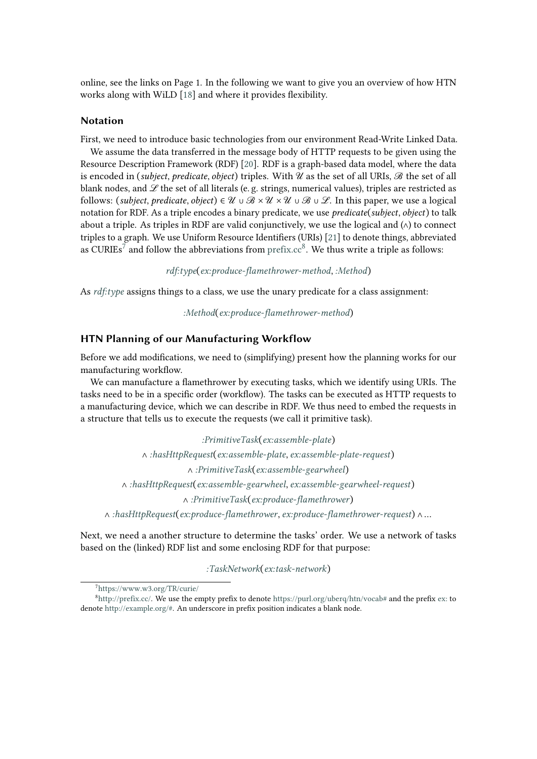online, see the links on Page 1. In the following we want to give you an overview of how HTN works along with WiLD [\[18\]](#page-6-2) and where it provides flexibility.

#### **Notation**

First, we need to introduce basic technologies from our environment Read-Write Linked Data.

We assume the data transferred in the message body of HTTP requests to be given using the Resource Description Framework (RDF) [\[20\]](#page-6-4). RDF is a graph-based data model, where the data is encoded in (*subject*, *predicate*, *object*) triples. With  $\mathcal U$  as the set of all URIs,  $\mathcal B$  the set of all blank nodes, and  $\mathscr L$  the set of all literals (e.g. strings, numerical values), triples are restricted as follows: (*subject*, *predicate*, *object*)  $\in \mathcal{U} \cup \mathcal{B} \times \mathcal{U} \times \mathcal{U} \cup \mathcal{B} \cup \mathcal{L}$ . In this paper, we use a logical notation for RDF. As a triple encodes a binary predicate, we use *predicate*(*subject*, *object*) to talk about a triple. As triples in RDF are valid conjunctively, we use the logical and  $(\wedge)$  to connect triples to a graph. We use Uniform Resource Identifiers (URIs) [\[21\]](#page-6-5) to denote things, abbreviated as CURIEs<sup>[7](#page-3-0)</sup> and follow the abbreviations from  $\text{prefix}.\text{cc}^8$  $\text{prefix}.\text{cc}^8$ . We thus write a triple as follows:

*<rdf:type>*(*<ex:produce-flamethrower-method>*, *<:Method>*)

As *<rdf:type>* assigns things to a class, we use the unary predicate for a class assignment:

*<:Method>*(*<ex:produce-flamethrower-method>*)

#### **HTN Planning of our Manufacturing Workflow**

Before we add modifications, we need to (simplifying) present how the planning works for our manufacturing workflow.

We can manufacture a flamethrower by executing tasks, which we identify using URIs. The tasks need to be in a specific order (workflow). The tasks can be executed as HTTP requests to a manufacturing device, which we can describe in RDF. We thus need to embed the requests in a structure that tells us to execute the requests (we call it primitive task).

*<:PrimitiveTask>*(*<ex:assemble-plate>*) ∧ *<:hasHttpRequest>*(*<ex:assemble-plate>*, *<ex:assemble-plate-request>*) ∧ *<:PrimitiveTask>*(*<ex:assemble-gearwheel>*) ∧ *<:hasHttpRequest>*(*<ex:assemble-gearwheel>*, *<ex:assemble-gearwheel-request>*) ∧ *<:PrimitiveTask>*(*<ex:produce-flamethrower>*) ∧ *<:hasHttpRequest>*(*<ex:produce-flamethrower>*, *<ex:produce-flamethrower-request>*) ∧ …

Next, we need a another structure to determine the tasks' order. We use a network of tasks based on the (linked) RDF list and some enclosing RDF for that purpose:

*<:TaskNetwork>*(*<ex:task-network>*)

<span id="page-3-1"></span><span id="page-3-0"></span><sup>7</sup><https://www.w3.org/TR/curie/>

 ${}^{8}$ [http://prefix.cc/.](http://prefix.cc/) We use the empty prefix to denote <https://purl.org/uberq/htn/vocab#> and the prefix <ex:> to denote [http://example.org/#.](http://example.org/#) An underscore in prefix position indicates a blank node.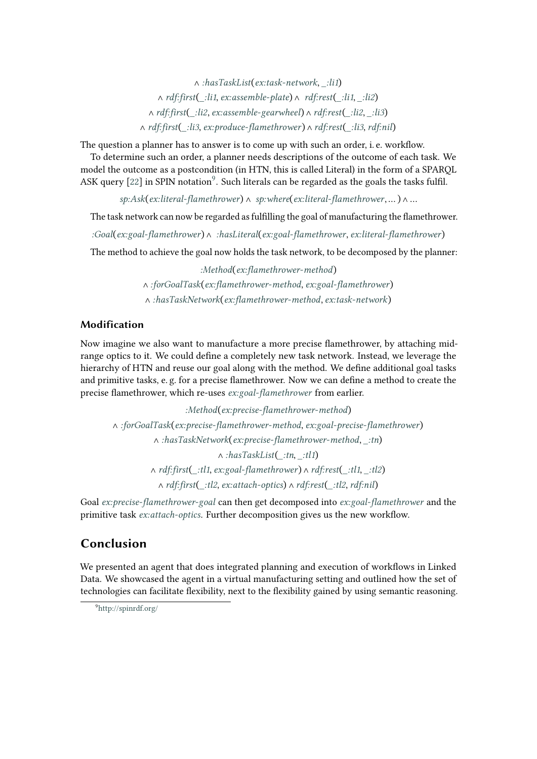∧ *<:hasTaskList>*(*<ex:task-network>*, *[\\_:li1](_:li1)*) ∧ *<rdf:first>*(*[\\_:li1](_:li1)*, *<ex:assemble-plate>*) ∧ *<rdf:rest>*(*[\\_:li1](_:li1)*, *[\\_:li2](_:li2)*) ∧ *<rdf:first>*(*[\\_:li2](_:li2)*, *<ex:assemble-gearwheel>*) ∧ *<rdf:rest>*(*[\\_:li2](_:li2)*, *[\\_:li3](_:li3)*) ∧ *<rdf:first>*(*[\\_:li3](_:li3)*, *<ex:produce-flamethrower>*) ∧ *<rdf:rest>*(*[\\_:li3](_:li3)*,*<rdf:nil>*)

The question a planner has to answer is to come up with such an order, i. e. workflow.

To determine such an order, a planner needs descriptions of the outcome of each task. We model the outcome as a postcondition (in HTN, this is called Literal) in the form of a SPARQL ASK query [\[22\]](#page-6-6) in SPIN notation<sup>[9](#page-4-0)</sup>. Such literals can be regarded as the goals the tasks fulfil.

*<sp:Ask>*(*<ex:literal-flamethrower>*) ∧ *<sp:where>*(*<ex:literal-flamethrower>*, … ) ∧ …

The task network can now be regarded as fulfilling the goal of manufacturing the flamethrower.

*<:Goal>*(*<ex:goal-flamethrower>*) ∧ *<:hasLiteral>*(*<ex:goal-flamethrower>*, *<ex:literal-flamethrower>*)

The method to achieve the goal now holds the task network, to be decomposed by the planner:

*<:Method>*(*<ex:flamethrower-method>*) ∧ *<:forGoalTask>*(*<ex:flamethrower-method>*, *<ex:goal-flamethrower>*) ∧ *<:hasTaskNetwork>*(*<ex:flamethrower-method>*, *<ex:task-network>*)

### **Modification**

Now imagine we also want to manufacture a more precise flamethrower, by attaching midrange optics to it. We could define a completely new task network. Instead, we leverage the hierarchy of HTN and reuse our goal along with the method. We define additional goal tasks and primitive tasks, e. g. for a precise flamethrower. Now we can define a method to create the precise flamethrower, which re-uses *<ex:goal-flamethrower>* from earlier.

*<:Method>*(*<ex:precise-flamethrower-method>*) ∧ *<:forGoalTask>*(*<ex:precise-flamethrower-method>*, *<ex:goal-precise-flamethrower>*) ∧ *<:hasTaskNetwork>*(*<ex:precise-flamethrower-method>*, *[\\_:tn](_:tn)*) ∧ *<:hasTaskList>*(*[\\_:tn](_:tn)*, *[\\_:tl1](_:tl1)*) ∧ *<rdf:first>*(*[\\_:tl1](_:tl1)*, *<ex:goal-flamethrower>*) ∧ *<rdf:rest>*(*[\\_:tl1](_:tl1)*, *[\\_:tl2](_:tl2)*) ∧ *<rdf:first>*(*[\\_:tl2](_:tl2)*, *<ex:attach-optics>*) ∧ *<rdf:rest>*(*[\\_:tl2](_:tl2)*,*<rdf:nil>*)

Goal *<ex:precise-flamethrower-goal>* can then get decomposed into *<ex:goal-flamethrower>* and the primitive task *<ex:attach-optics>*. Further decomposition gives us the new workflow.

### **Conclusion**

We presented an agent that does integrated planning and execution of workflows in Linked Data. We showcased the agent in a virtual manufacturing setting and outlined how the set of technologies can facilitate flexibility, next to the flexibility gained by using semantic reasoning.

<span id="page-4-0"></span><sup>9</sup><http://spinrdf.org/>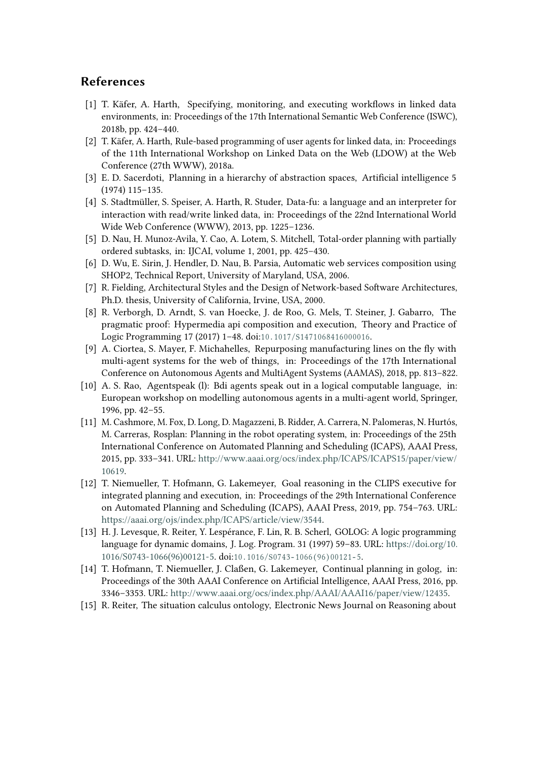### **References**

- [1] T. Käfer, A. Harth, Specifying, monitoring, and executing workflows in linked data environments, in: Proceedings of the 17th International Semantic Web Conference (ISWC), 2018b, pp. 424–440.
- <span id="page-5-0"></span>[2] T. Käfer, A. Harth, Rule-based programming of user agents for linked data, in: Proceedings of the 11th International Workshop on Linked Data on the Web (LDOW) at the Web Conference (27th WWW), 2018a.
- <span id="page-5-1"></span>[3] E. D. Sacerdoti, Planning in a hierarchy of abstraction spaces, Artificial intelligence 5 (1974) 115–135.
- <span id="page-5-2"></span>[4] S. Stadtmüller, S. Speiser, A. Harth, R. Studer, Data-fu: a language and an interpreter for interaction with read/write linked data, in: Proceedings of the 22nd International World Wide Web Conference (WWW), 2013, pp. 1225–1236.
- <span id="page-5-3"></span>[5] D. Nau, H. Munoz-Avila, Y. Cao, A. Lotem, S. Mitchell, Total-order planning with partially ordered subtasks, in: IJCAI, volume 1, 2001, pp. 425–430.
- <span id="page-5-4"></span>[6] D. Wu, E. Sirin, J. Hendler, D. Nau, B. Parsia, Automatic web services composition using SHOP2, Technical Report, University of Maryland, USA, 2006.
- <span id="page-5-5"></span>[7] R. Fielding, Architectural Styles and the Design of Network-based Software Architectures, Ph.D. thesis, University of California, Irvine, USA, 2000.
- <span id="page-5-6"></span>[8] R. Verborgh, D. Arndt, S. van Hoecke, J. de Roo, G. Mels, T. Steiner, J. Gabarro, The pragmatic proof: Hypermedia api composition and execution, Theory and Practice of Logic Programming 17 (2017) 1-48. doi:10.1017/S1471068416000016.
- <span id="page-5-7"></span>[9] A. Ciortea, S. Mayer, F. Michahelles, Repurposing manufacturing lines on the fly with multi-agent systems for the web of things, in: Proceedings of the 17th International Conference on Autonomous Agents and MultiAgent Systems (AAMAS), 2018, pp. 813–822.
- <span id="page-5-8"></span>[10] A. S. Rao, Agentspeak (l): Bdi agents speak out in a logical computable language, in: European workshop on modelling autonomous agents in a multi-agent world, Springer, 1996, pp. 42–55.
- <span id="page-5-9"></span>[11] M. Cashmore, M. Fox, D. Long, D. Magazzeni, B. Ridder, A. Carrera, N. Palomeras, N. Hurtós, M. Carreras, Rosplan: Planning in the robot operating system, in: Proceedings of the 25th International Conference on Automated Planning and Scheduling (ICAPS), AAAI Press, 2015, pp. 333–341. URL: [http://www.aaai.org/ocs/index.php/ICAPS/ICAPS15/paper/view/](http://www.aaai.org/ocs/index.php/ICAPS/ICAPS15/paper/view/10619) [10619.](http://www.aaai.org/ocs/index.php/ICAPS/ICAPS15/paper/view/10619)
- <span id="page-5-10"></span>[12] T. Niemueller, T. Hofmann, G. Lakemeyer, Goal reasoning in the CLIPS executive for integrated planning and execution, in: Proceedings of the 29th International Conference on Automated Planning and Scheduling (ICAPS), AAAI Press, 2019, pp. 754–763. URL: [https://aaai.org/ojs/index.php/ICAPS/article/view/3544.](https://aaai.org/ojs/index.php/ICAPS/article/view/3544)
- <span id="page-5-11"></span>[13] H. J. Levesque, R. Reiter, Y. Lespérance, F. Lin, R. B. Scherl, GOLOG: A logic programming language for dynamic domains, J. Log. Program. 31 (1997) 59–83. URL: [https://doi.org/10.](https://doi.org/10.1016/S0743-1066(96)00121-5) [1016/S0743-1066\(96\)00121-5.](https://doi.org/10.1016/S0743-1066(96)00121-5) doi:10.1016/S0743-1066(96)00121-5.
- <span id="page-5-12"></span>[14] T. Hofmann, T. Niemueller, J. Claßen, G. Lakemeyer, Continual planning in golog, in: Proceedings of the 30th AAAI Conference on Artificial Intelligence, AAAI Press, 2016, pp. 3346–3353. URL: [http://www.aaai.org/ocs/index.php/AAAI/AAAI16/paper/view/12435.](http://www.aaai.org/ocs/index.php/AAAI/AAAI16/paper/view/12435)
- <span id="page-5-13"></span>[15] R. Reiter, The situation calculus ontology, Electronic News Journal on Reasoning about